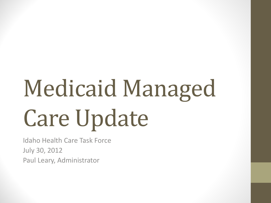# Medicaid Managed Care Update

Idaho Health Care Task Force July 30, 2012 Paul Leary, Administrator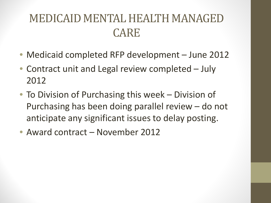#### MEDICAID MENTAL HEALTH MANAGED CARE

- Medicaid completed RFP development June 2012
- Contract unit and Legal review completed July 2012
- To Division of Purchasing this week Division of Purchasing has been doing parallel review – do not anticipate any significant issues to delay posting.
- Award contract November 2012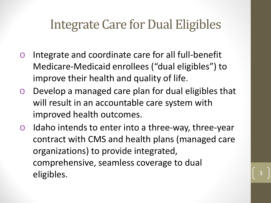#### Integrate Care for Dual Eligibles

- o Integrate and coordinate care for all full-benefit Medicare-Medicaid enrollees ("dual eligibles") to improve their health and quality of life.
- o Develop a managed care plan for dual eligibles that will result in an accountable care system with improved health outcomes.
- o Idaho intends to enter into a three-way, three-year contract with CMS and health plans (managed care organizations) to provide integrated, comprehensive, seamless coverage to dual eligibles. 3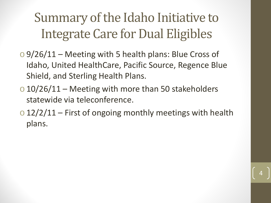### Summary of the Idaho Initiative to Integrate Care for Dual Eligibles

- $\circ$  9/26/11 Meeting with 5 health plans: Blue Cross of Idaho, United HealthCare, Pacific Source, Regence Blue Shield, and Sterling Health Plans.
- $\sim$  10/26/11 Meeting with more than 50 stakeholders statewide via teleconference.
- $\sim$  12/2/11 First of ongoing monthly meetings with health plans.

4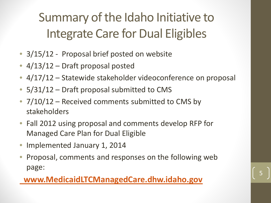### Summary of the Idaho Initiative to Integrate Care for Dual Eligibles

- 3/15/12 Proposal brief posted on website
- 4/13/12 Draft proposal posted
- 4/17/12 Statewide stakeholder videoconference on proposal
- 5/31/12 Draft proposal submitted to CMS
- 7/10/12 Received comments submitted to CMS by stakeholders
- Fall 2012 using proposal and comments develop RFP for Managed Care Plan for Dual Eligible
- Implemented January 1, 2014
- Proposal, comments and responses on the following web page:

5

#### **[www.MedicaidLTCManagedCare.dhw.idaho.gov](http://www.medicaidltcmanagedcare.dhw.idaho.gov/)**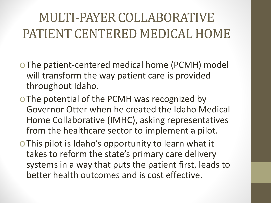### MULTI-PAYER COLLABORATIVE PATIENT CENTERED MEDICAL HOME

- oThe patient-centered medical home (PCMH) model will transform the way patient care is provided throughout Idaho.
- o The potential of the PCMH was recognized by Governor Otter when he created the Idaho Medical Home Collaborative (IMHC), asking representatives from the healthcare sector to implement a pilot.
- oThis pilot is Idaho's opportunity to learn what it takes to reform the state's primary care delivery systems in a way that puts the patient first, leads to better health outcomes and is cost effective.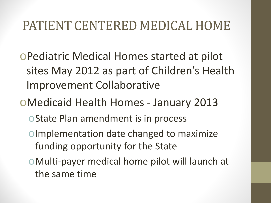### PATIENT CENTERED MEDICAL HOME

oPediatric Medical Homes started at pilot sites May 2012 as part of Children's Health Improvement Collaborative

oMedicaid Health Homes - January 2013

- oState Plan amendment is in process
- oImplementation date changed to maximize funding opportunity for the State
- oMulti-payer medical home pilot will launch at the same time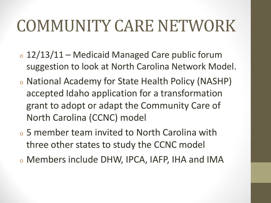## COMMUNITY CARE NETWORK

- o 12/13/11 Medicaid Managed Care public forum suggestion to look at North Carolina Network Model.
- <sup>o</sup> National Academy for State Health Policy (NASHP) accepted Idaho application for a transformation grant to adopt or adapt the Community Care of North Carolina (CCNC) model
- <sup>o</sup> 5 member team invited to North Carolina with three other states to study the CCNC model
- <sup>o</sup> Members include DHW, IPCA, IAFP, IHA and IMA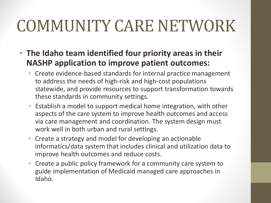# COMMUNITY CARE NETWORK

- **The Idaho team identified four priority areas in their NASHP application to improve patient outcomes:**
	- Create evidence-based standards for internal practice management to address the needs of high-risk and high-cost populations statewide, and provide resources to support transformation towards these standards in community settings.
	- Establish a model to support medical home integration, with other aspects of the care system to improve health outcomes and access via care management and coordination. The system design must work well in both urban and rural settings.
	- Create a strategy and model for developing an actionable informatics/data system that includes clinical and utilization data to improve health outcomes and reduce costs.
	- Create a public policy framework for a community care system to guide implementation of Medicaid managed care approaches in Idaho.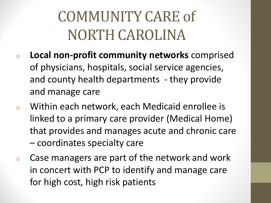### COMMUNITY CARE of NORTH CAROLINA

- <sup>o</sup> **Local non-profit community networks** comprised of physicians, hospitals, social service agencies, and county health departments - they provide and manage care
- <sup>o</sup> Within each network, each Medicaid enrollee is linked to a primary care provider (Medical Home) that provides and manages acute and chronic care – coordinates specialty care
- <sup>o</sup> Case managers are part of the network and work in concert with PCP to identify and manage care for high cost, high risk patients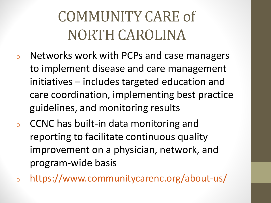### COMMUNITY CARE of NORTH CAROLINA

- <sup>o</sup> Networks work with PCPs and case managers to implement disease and care management initiatives – includes targeted education and care coordination, implementing best practice guidelines, and monitoring results
- CCNC has built-in data monitoring and reporting to facilitate continuous quality improvement on a physician, network, and program-wide basis
- <sup>o</sup> <https://www.communitycarenc.org/about-us/>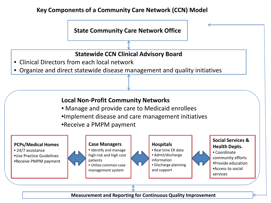#### **Key Components of a Community Care Network (CCN) Model**



**Measurement and Reporting for Continuous Quality Improvement**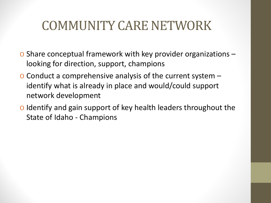### COMMUNITY CARE NETWORK

- o Share conceptual framework with key provider organizations looking for direction, support, champions
- o Conduct a comprehensive analysis of the current system identify what is already in place and would/could support network development
- o Identify and gain support of key health leaders throughout the State of Idaho - Champions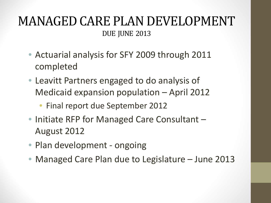#### MANAGED CARE PLAN DEVELOPMENT DUE JUNE 2013

- Actuarial analysis for SFY 2009 through 2011 completed
- Leavitt Partners engaged to do analysis of Medicaid expansion population – April 2012
	- Final report due September 2012
- Initiate RFP for Managed Care Consultant August 2012
- Plan development ongoing
- Managed Care Plan due to Legislature June 2013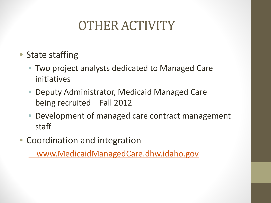### OTHER ACTIVITY

- State staffing
	- Two project analysts dedicated to Managed Care initiatives
	- Deputy Administrator, Medicaid Managed Care being recruited – Fall 2012
	- Development of managed care contract management staff
- Coordination and integration

 [www.MedicaidManagedCare.dhw.idaho.gov](http://www.medicaidmanagedcare.dhw.idaho.gov/)